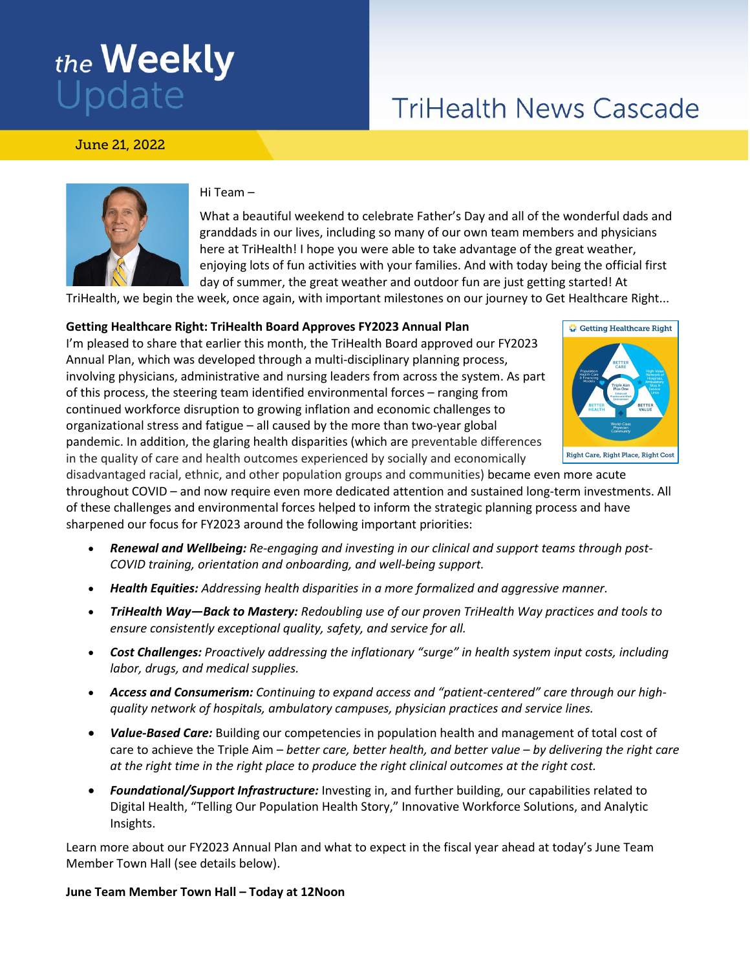# the **Weekly**<br>Update

## **TriHealth News Cascade**

June 21, 2022



#### Hi Team –

What a beautiful weekend to celebrate Father's Day and all of the wonderful dads and granddads in our lives, including so many of our own team members and physicians here at TriHealth! I hope you were able to take advantage of the great weather, enjoying lots of fun activities with your families. And with today being the official first day of summer, the great weather and outdoor fun are just getting started! At

TriHealth, we begin the week, once again, with important milestones on our journey to Get Healthcare Right...

#### **Getting Healthcare Right: TriHealth Board Approves FY2023 Annual Plan**

I'm pleased to share that earlier this month, the TriHealth Board approved our FY2023 Annual Plan, which was developed through a multi-disciplinary planning process, involving physicians, administrative and nursing leaders from across the system. As part of this process, the steering team identified environmental forces – ranging from continued workforce disruption to growing inflation and economic challenges to organizational stress and fatigue – all caused by the more than two-year global pandemic. In addition, the glaring health disparities (which are preventable differences in the quality of care and health outcomes experienced by socially and economically



disadvantaged racial, ethnic, and other population groups and communities) became even more acute throughout COVID – and now require even more dedicated attention and sustained long-term investments. All of these challenges and environmental forces helped to inform the strategic planning process and have sharpened our focus for FY2023 around the following important priorities:

- *Renewal and Wellbeing: Re-engaging and investing in our clinical and support teams through post-COVID training, orientation and onboarding, and well-being support.*
- *Health Equities: Addressing health disparities in a more formalized and aggressive manner.*
- *TriHealth Way—Back to Mastery: Redoubling use of our proven TriHealth Way practices and tools to ensure consistently exceptional quality, safety, and service for all.*
- *Cost Challenges: Proactively addressing the inflationary "surge" in health system input costs, including labor, drugs, and medical supplies.*
- *Access and Consumerism: Continuing to expand access and "patient-centered" care through our highquality network of hospitals, ambulatory campuses, physician practices and service lines.*
- *Value-Based Care:* Building our competencies in population health and management of total cost of care to achieve the Triple Aim – *better care, better health, and better value – by delivering the right care at the right time in the right place to produce the right clinical outcomes at the right cost.*
- *Foundational/Support Infrastructure:* Investing in, and further building, our capabilities related to Digital Health, "Telling Our Population Health Story," Innovative Workforce Solutions, and Analytic Insights.

Learn more about our FY2023 Annual Plan and what to expect in the fiscal year ahead at today's June Team Member Town Hall (see details below).

#### **June Team Member Town Hall – Today at 12Noon**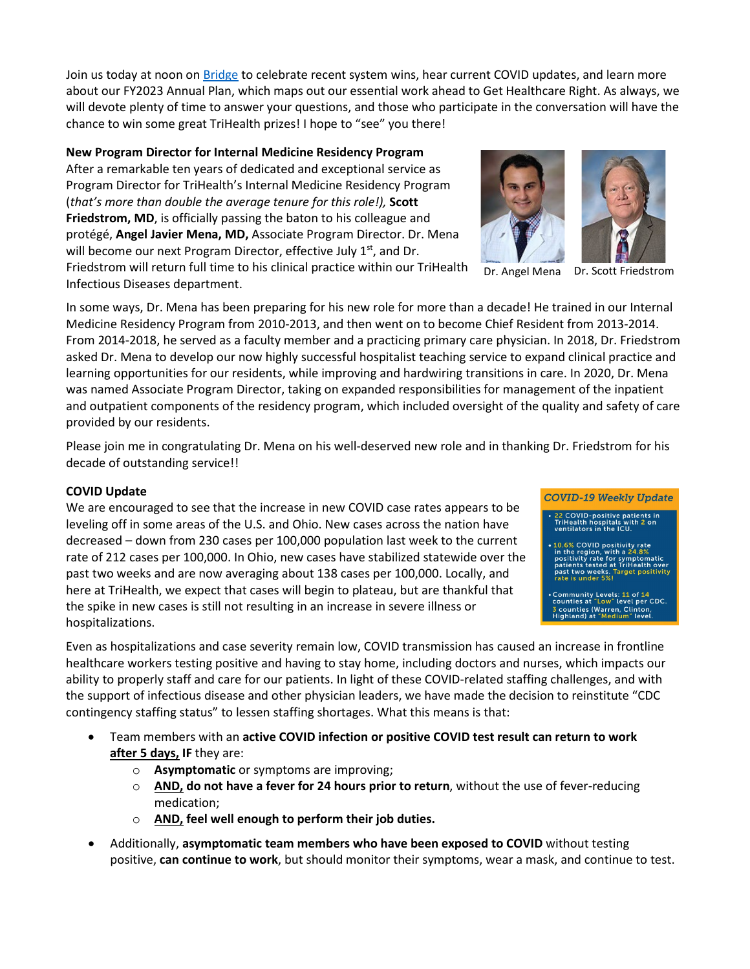Join us today at noon on [Bridge](https://apps.trihealth.com/livestream/team-member.aspx) to celebrate recent system wins, hear current COVID updates, and learn more about our FY2023 Annual Plan, which maps out our essential work ahead to Get Healthcare Right. As always, we will devote plenty of time to answer your questions, and those who participate in the conversation will have the chance to win some great TriHealth prizes! I hope to "see" you there!

### **New Program Director for Internal Medicine Residency Program**

After a remarkable ten years of dedicated and exceptional service as Program Director for TriHealth's Internal Medicine Residency Program (*that's more than double the average tenure for this role!),* **Scott Friedstrom, MD**, is officially passing the baton to his colleague and protégé, **Angel Javier Mena, MD,** Associate Program Director. Dr. Mena will become our next Program Director, effective July  $1<sup>st</sup>$ , and Dr. Friedstrom will return full time to his clinical practice within our TriHealth Infectious Diseases department.

In some ways, Dr. Mena has been preparing for his new role for more than a decade! He trained in our Internal Medicine Residency Program from 2010-2013, and then went on to become Chief Resident from 2013-2014. From 2014-2018, he served as a faculty member and a practicing primary care physician. In 2018, Dr. Friedstrom asked Dr. Mena to develop our now highly successful hospitalist teaching service to expand clinical practice and learning opportunities for our residents, while improving and hardwiring transitions in care. In 2020, Dr. Mena was named Associate Program Director, taking on expanded responsibilities for management of the inpatient and outpatient components of the residency program, which included oversight of the quality and safety of care provided by our residents.

Please join me in congratulating Dr. Mena on his well-deserved new role and in thanking Dr. Friedstrom for his decade of outstanding service!!

#### **COVID Update**

We are encouraged to see that the increase in new COVID case rates appears to be leveling off in some areas of the U.S. and Ohio. New cases across the nation have decreased – down from 230 cases per 100,000 population last week to the current rate of 212 cases per 100,000. In Ohio, new cases have stabilized statewide over the past two weeks and are now averaging about 138 cases per 100,000. Locally, and here at TriHealth, we expect that cases will begin to plateau, but are thankful that the spike in new cases is still not resulting in an increase in severe illness or hospitalizations.

Even as hospitalizations and case severity remain low, COVID transmission has caused an increase in frontline healthcare workers testing positive and having to stay home, including doctors and nurses, which impacts our ability to properly staff and care for our patients. In light of these COVID-related staffing challenges, and with the support of infectious disease and other physician leaders, we have made the decision to reinstitute "CDC contingency staffing status" to lessen staffing shortages. What this means is that:

- Team members with an **active COVID infection or positive COVID test result can return to work after 5 days, IF** they are:
	- o **Asymptomatic** or symptoms are improving;
	- o **AND, do not have a fever for 24 hours prior to return**, without the use of fever-reducing medication;
	- o **AND, feel well enough to perform their job duties.**
- Additionally, **asymptomatic team members who have been exposed to COVID** without testing positive, **can continue to work**, but should monitor their symptoms, wear a mask, and continue to test.

Dr. Angel Mena Dr. Scott Friedstrom



0.6% COVID positivity rate<br>in the region, with a 24.8%<br>positivity rate for symptomatic<br>patients tested at TriHealth over<br>past two weeks. Target positivity

Community Levels: 11 of 14<br>counties at "Low" level per CDC. 3 counties (Warren, Clinton,<br>Highland) at "Medium" level